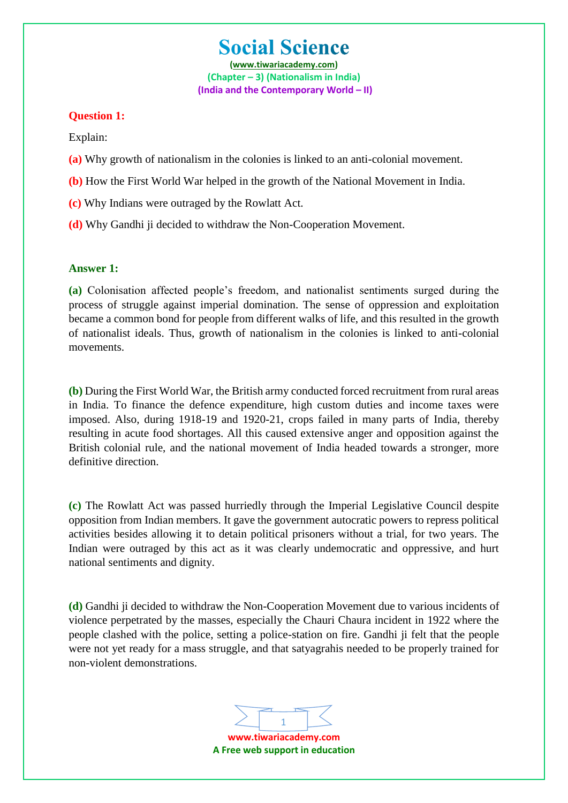**(www.tiwariacademy.com) (Chapter – 3) (Nationalism in India) (India and the Contemporary World – II)**

## **Question 1:**

Explain:

- **(a)** Why growth of nationalism in the colonies is linked to an anti-colonial movement.
- **(b)** How the First World War helped in the growth of the National Movement in India.
- **(c)** Why Indians were outraged by the Rowlatt Act.
- **(d)** Why Gandhi ji decided to withdraw the Non-Cooperation Movement.

### **Answer 1:**

**(a)** Colonisation affected people's freedom, and nationalist sentiments surged during the process of struggle against imperial domination. The sense of oppression and exploitation became a common bond for people from different walks of life, and this resulted in the growth of nationalist ideals. Thus, growth of nationalism in the colonies is linked to anti-colonial movements.

**(b)** During the First World War, the British army conducted forced recruitment from rural areas in India. To finance the defence expenditure, high custom duties and income taxes were imposed. Also, during 1918-19 and 1920-21, crops failed in many parts of India, thereby resulting in acute food shortages. All this caused extensive anger and opposition against the British colonial rule, and the national movement of India headed towards a stronger, more definitive direction.

**(c)** The Rowlatt Act was passed hurriedly through the Imperial Legislative Council despite opposition from Indian members. It gave the government autocratic powers to repress political activities besides allowing it to detain political prisoners without a trial, for two years. The Indian were outraged by this act as it was clearly undemocratic and oppressive, and hurt national sentiments and dignity.

**(d)** Gandhi ji decided to withdraw the Non-Cooperation Movement due to various incidents of violence perpetrated by the masses, especially the Chauri Chaura incident in 1922 where the people clashed with the police, setting a police-station on fire. Gandhi ji felt that the people were not yet ready for a mass struggle, and that satyagrahis needed to be properly trained for non-violent demonstrations.

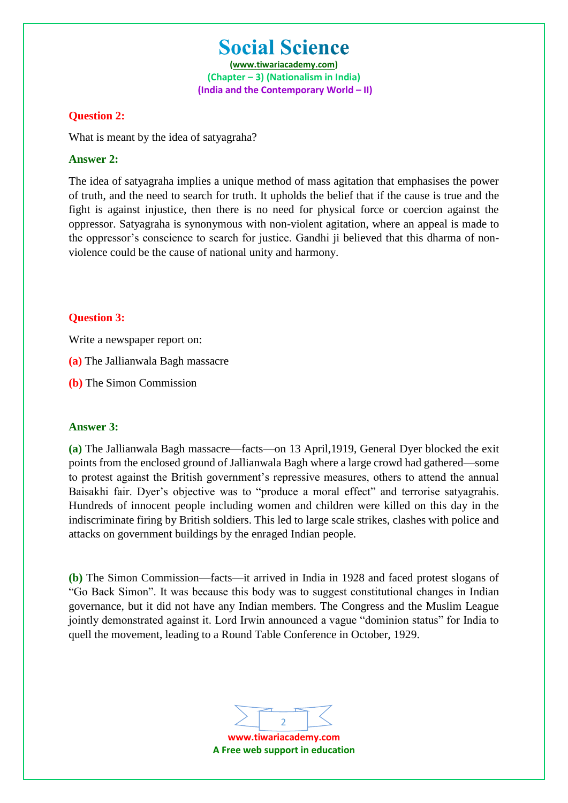**(www.tiwariacademy.com) (Chapter – 3) (Nationalism in India) (India and the Contemporary World – II)**

### **Question 2:**

What is meant by the idea of satyagraha?

### **Answer 2:**

The idea of satyagraha implies a unique method of mass agitation that emphasises the power of truth, and the need to search for truth. It upholds the belief that if the cause is true and the fight is against injustice, then there is no need for physical force or coercion against the oppressor. Satyagraha is synonymous with non-violent agitation, where an appeal is made to the oppressor's conscience to search for justice. Gandhi ji believed that this dharma of nonviolence could be the cause of national unity and harmony.

## **Question 3:**

Write a newspaper report on:

**(a)** The Jallianwala Bagh massacre

**(b)** The Simon Commission

### **Answer 3:**

**(a)** The Jallianwala Bagh massacre—facts—on 13 April,1919, General Dyer blocked the exit points from the enclosed ground of Jallianwala Bagh where a large crowd had gathered—some to protest against the British government's repressive measures, others to attend the annual Baisakhi fair. Dyer's objective was to "produce a moral effect" and terrorise satyagrahis. Hundreds of innocent people including women and children were killed on this day in the indiscriminate firing by British soldiers. This led to large scale strikes, clashes with police and attacks on government buildings by the enraged Indian people.

**(b)** The Simon Commission—facts—it arrived in India in 1928 and faced protest slogans of "Go Back Simon". It was because this body was to suggest constitutional changes in Indian governance, but it did not have any Indian members. The Congress and the Muslim League jointly demonstrated against it. Lord Irwin announced a vague "dominion status" for India to quell the movement, leading to a Round Table Conference in October, 1929.

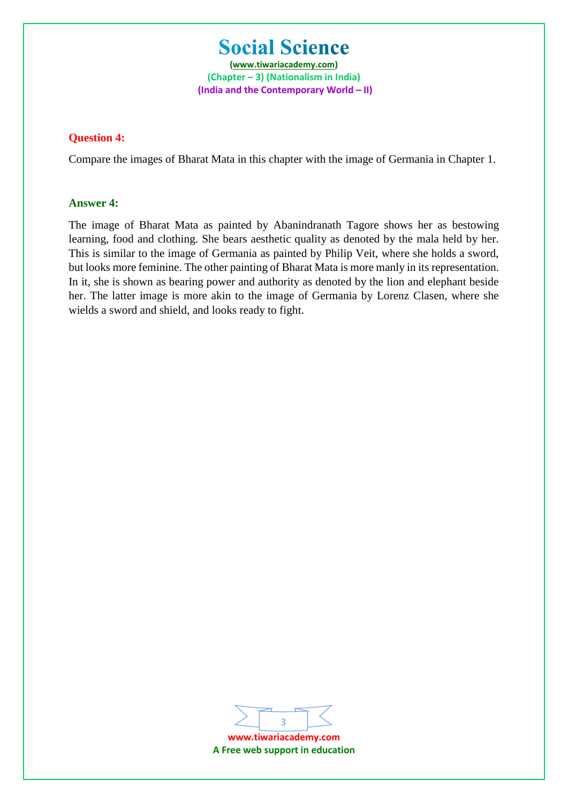**(www.tiwariacademy.com) (Chapter – 3) (Nationalism in India) (India and the Contemporary World – II)**

### **Question 4:**

Compare the images of Bharat Mata in this chapter with the image of Germania in Chapter 1.

### **Answer 4:**

The image of Bharat Mata as painted by Abanindranath Tagore shows her as bestowing learning, food and clothing. She bears aesthetic quality as denoted by the mala held by her. This is similar to the image of Germania as painted by Philip Veit, where she holds a sword, but looks more feminine. The other painting of Bharat Mata is more manly in its representation. In it, she is shown as bearing power and authority as denoted by the lion and elephant beside her. The latter image is more akin to the image of Germania by Lorenz Clasen, where she wields a sword and shield, and looks ready to fight.



**A Free web support in education**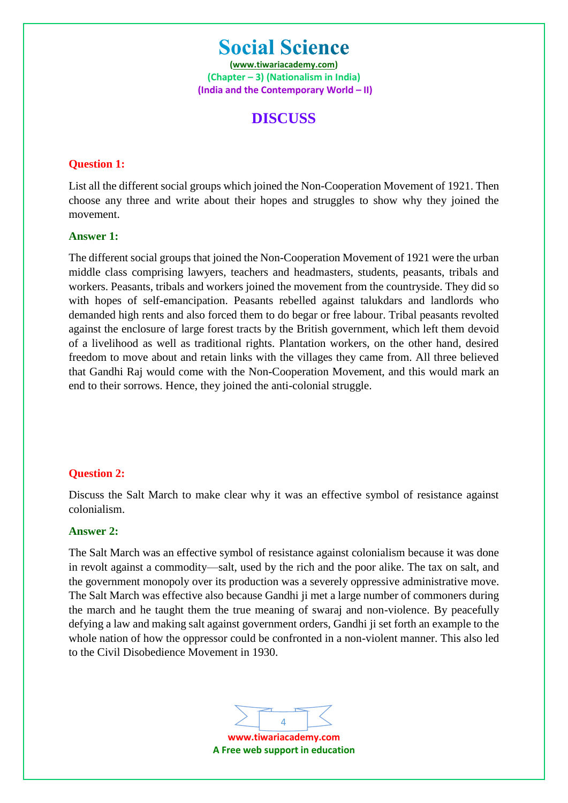**(www.tiwariacademy.com) (Chapter – 3) (Nationalism in India) (India and the Contemporary World – II)**

# **DISCUSS**

# **Question 1:**

List all the different social groups which joined the Non-Cooperation Movement of 1921. Then choose any three and write about their hopes and struggles to show why they joined the movement.

# **Answer 1:**

The different social groups that joined the Non-Cooperation Movement of 1921 were the urban middle class comprising lawyers, teachers and headmasters, students, peasants, tribals and workers. Peasants, tribals and workers joined the movement from the countryside. They did so with hopes of self-emancipation. Peasants rebelled against talukdars and landlords who demanded high rents and also forced them to do begar or free labour. Tribal peasants revolted against the enclosure of large forest tracts by the British government, which left them devoid of a livelihood as well as traditional rights. Plantation workers, on the other hand, desired freedom to move about and retain links with the villages they came from. All three believed that Gandhi Raj would come with the Non-Cooperation Movement, and this would mark an end to their sorrows. Hence, they joined the anti-colonial struggle.

## **Question 2:**

Discuss the Salt March to make clear why it was an effective symbol of resistance against colonialism.

## **Answer 2:**

The Salt March was an effective symbol of resistance against colonialism because it was done in revolt against a commodity—salt, used by the rich and the poor alike. The tax on salt, and the government monopoly over its production was a severely oppressive administrative move. The Salt March was effective also because Gandhi ji met a large number of commoners during the march and he taught them the true meaning of swaraj and non-violence. By peacefully defying a law and making salt against government orders, Gandhi ji set forth an example to the whole nation of how the oppressor could be confronted in a non-violent manner. This also led to the Civil Disobedience Movement in 1930.